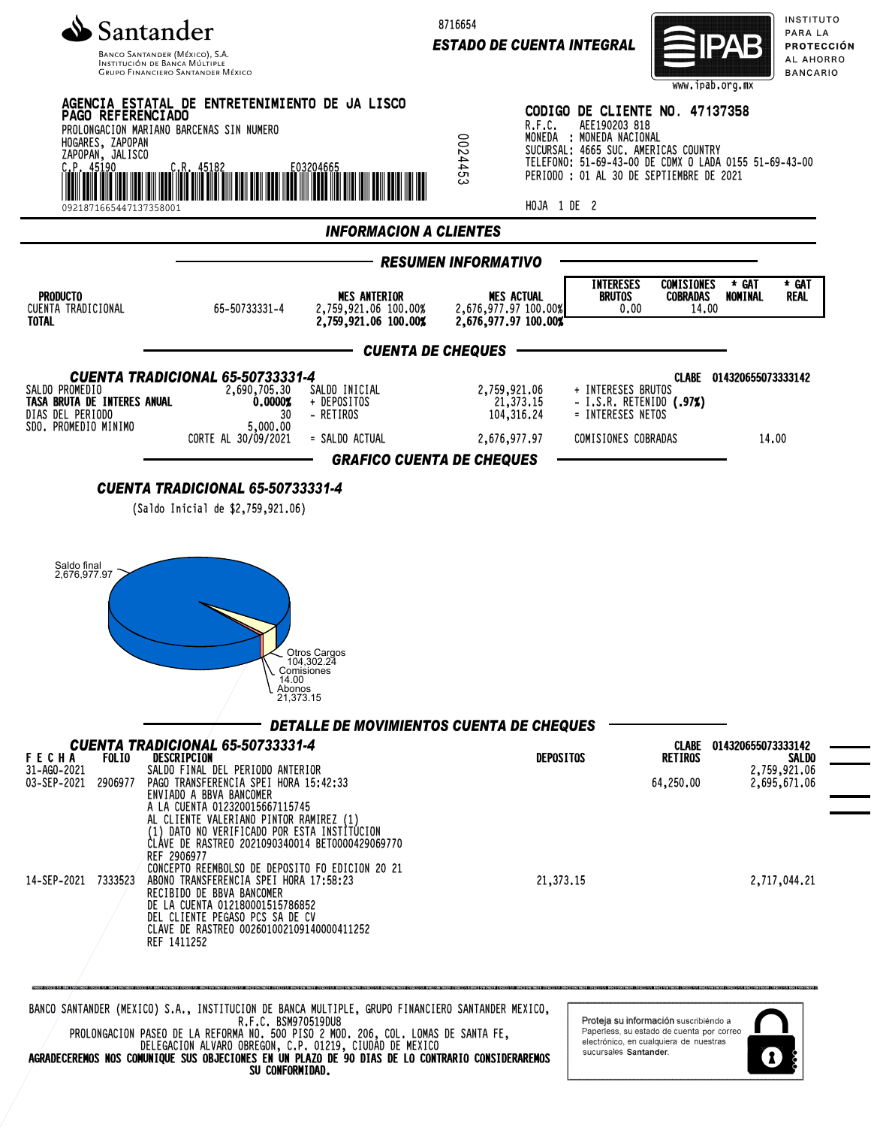

**GRUPO FINANCIERO SANTANDER MÉXICO** 

8716654

*ESTADO DE CUENTA INTEGRAL*



INSTITUTO PARA LA PROTECCIÓN AL AHORRO **BANCARIO** 



AGRADECEREMOS NOS COMUNIQUE SUS OBJECIONES EN UN PLAZO DE 90 DIAS DE LO CONTRARIO CONSIDERAREMOS SU CONFORMIDAD.

sucursales Santander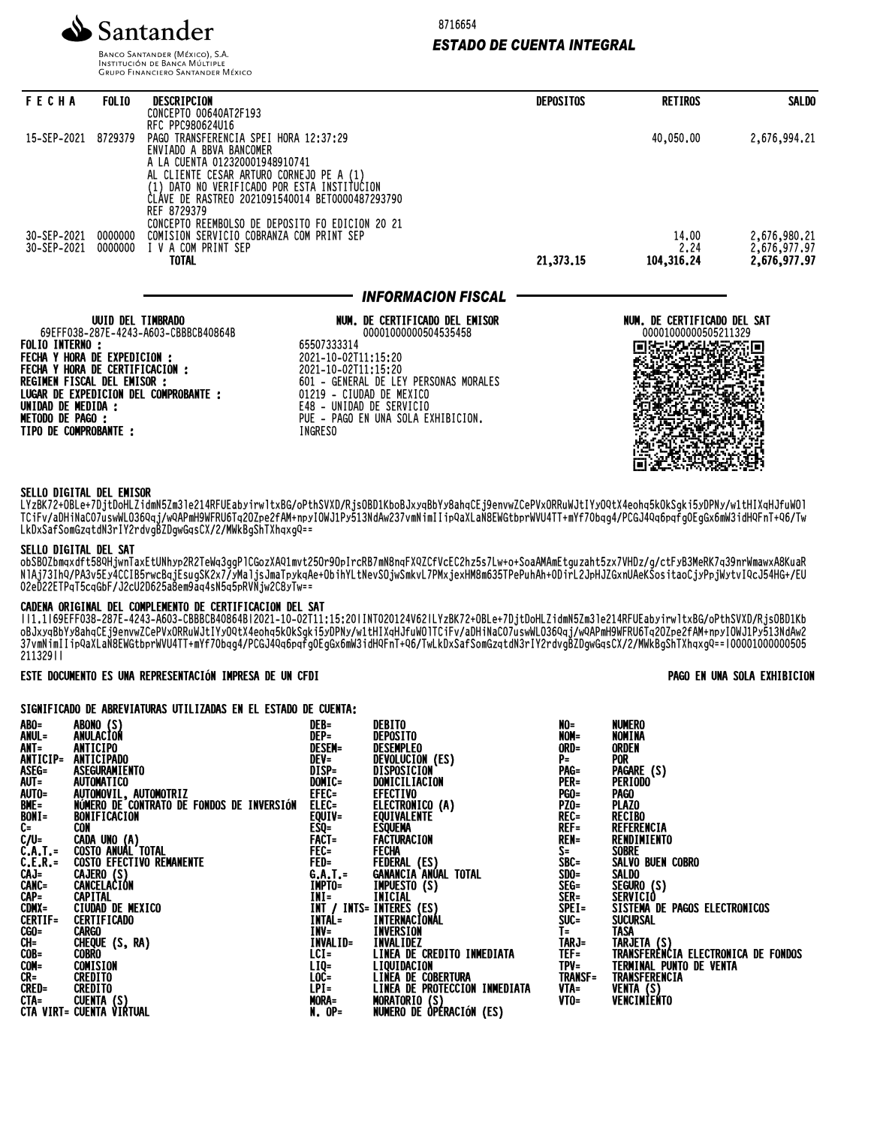

8716654

### *ESTADO DE CUENTA INTEGRAL*

**BANCO SANTANDER (MÉXICO), S.A. INSTITUCIÓN DE BANCA MÚLTIPLE**<br>INSTITUCIÓN DE BANCA MÚLTIPLE<br>GRUPO FINANCIERO SANTANDER MÉXICO

| <b>FECHA</b>                                                    | <b>FOLIO</b>      | DESCRIPCION                                                      |                                                                                                | <b>DEPOSITOS</b> | <b>RETIROS</b>                                      | <b>SALDO</b>                        |
|-----------------------------------------------------------------|-------------------|------------------------------------------------------------------|------------------------------------------------------------------------------------------------|------------------|-----------------------------------------------------|-------------------------------------|
|                                                                 |                   | CONCEPTO 00640AT2F193<br>RFC PPC980624U16                        |                                                                                                |                  |                                                     |                                     |
| 15-SEP-2021                                                     | 8729379           | PAGO TRANSFERENCIA SPEI HORA 12:37:29<br>ENVIADO A BBVA BANCOMER |                                                                                                |                  | 40,050.00                                           | 2,676,994.21                        |
|                                                                 |                   | A LA CUENTA 012320001948910741                                   |                                                                                                |                  |                                                     |                                     |
|                                                                 |                   |                                                                  | AL CLIENTE CESAR ARTURO CORNEJO PE A (1)                                                       |                  |                                                     |                                     |
|                                                                 |                   |                                                                  | (1) DATO NO VERIFICADO POR ESTA INSTITUCION<br>ČLÁVE DE RASTREO 2021091540014 BET0000487293790 |                  |                                                     |                                     |
|                                                                 |                   | REF 8729379                                                      |                                                                                                |                  |                                                     |                                     |
| 30-SEP-2021                                                     | 0000000           |                                                                  | CONCEPTO REEMBOLSO DE DEPOSITO FO EDICION 20 21<br>COMISION SERVICIO COBRANZA COM PRINT SEP    |                  | 14.00                                               | 2,676,980.21                        |
| 30-SEP-2021                                                     | 0000000           | I V A COM PRINT SEP                                              |                                                                                                |                  | 2.24                                                | 2,676,977.97<br><b>2,676,977.97</b> |
|                                                                 |                   | <b>TOTAL</b>                                                     |                                                                                                | 21,373.15        | 104,316.24                                          |                                     |
|                                                                 |                   |                                                                  | <b>INFORMACION FISCAL</b>                                                                      |                  |                                                     |                                     |
|                                                                 | UUID DEL TIMBRADO | 69EFF038-287E-4243-A603-CBBBCB40864B                             | NUM, DE CERTIFICADO DEL EMISOR<br>00001000000504535458                                         |                  | NUM. DE CERTIFICADO DEL SAT<br>00001000000505211329 |                                     |
| <b>FOLIO INTERNO :</b>                                          |                   |                                                                  | 65507333314                                                                                    |                  |                                                     |                                     |
| FECHA Y HORA DE EXPEDICION :<br>FECHA Y HORA DE CERTIFICACION : |                   |                                                                  | 2021-10-02T11:15:20<br>2021-10-02T11:15:20                                                     |                  |                                                     |                                     |
| REGIMEN FISCAL DEL EMISOR :                                     |                   |                                                                  | 601 - GENERAL DE LEY PERSONAS MORALES                                                          |                  |                                                     |                                     |
| UNIDAD DE MEDIDA :                                              |                   | LUGAR DE EXPEDICION DEL COMPROBANTE :                            | 01219 - CIUDAD DE MEXICO<br>E48 - UNIDAD DE SERVICIO                                           |                  |                                                     |                                     |
| <b>METODO DE PAGO :</b>                                         |                   |                                                                  | PUE - PAGO EN UNA SOLA EXHIBICION.                                                             |                  |                                                     |                                     |
| TIPO DE COMPROBANTE :                                           |                   |                                                                  | <b>INGRESO</b>                                                                                 |                  |                                                     |                                     |
|                                                                 |                   |                                                                  |                                                                                                |                  |                                                     |                                     |
|                                                                 |                   |                                                                  |                                                                                                |                  |                                                     |                                     |

### SELLO DIGITAL DEL EMISOR

LYzBK72+OBLe+7DjtDoHLZidmN5Zm3le214RFUEabyirwltxBG/oPthSVXD/RjsOBD1KboBJxyqBbYy8ahqCEj9envwZCePVxORRuWJtIYyOQtX4eohq5kOkSgki5yDPNy/w1tHIXqHJfuWOl TCIFV/aDHINACO/USWWLO30QQj/WQAPMH9WFROOTQZOZPeZFAM+NPYIOWJIPY313NQAWZ3/VMNIMIIIIpQaXLaN8EWGtDprWVU4TT+MYf70DQQ4/PCGJ4QQDQTQUX0MW3IQHQFNT+Q0/TW LkDxSafSomGzqtdN3rIY2rdvgBZDgwGqsCX/2/MWkBgShTXhqxgQ==

### SELLO DIGITAL DEL SAT

ODSBOZDMQXdTt38QHjWNIdXEtUNNYPZRZIeWQ3ggPlCGOZXAQ1MVtZ3Ur9UpIrcRB/MM8NQFXQZGTVCECZNZ3S7LW+O+SOdAMAMEtguZaht3zX/VHDZ/g/CtFyB3MeRK/Q39NrWMdWXA8KUdR NIAJ/3INY/PA3V5EY4CCIB5rWCBqjESUGSKZX//YMaljSJMaIPYKQAe+ODINYLtNeVSUjWSMKVL/PMXjeXNM8M633TPePuNAN+ODIrLZJPHJZGXNUAeKSOSItaOCjYPpjWytvIYCJ34HG+/EU 02eD22ETPqT5cqGbF/J2cU2D625a8em9aq4sN5q5pRVNjw2C8yTw==

## CADENA ORIGINAL DEL COMPLEMENTO DE CERTIFICACION DEL SAT

||1.1|69EFF038-287E-4243-A603-CBBBCB40864B|2021-10-02T11:15:20|INT020124V62|LYzBK72+OBLe+7DjtDoHLZidmN5Zm3le214RFUEabyirwltxBG/oPthSVXD/RjsOBD1Kb oBJxyqBbYy8ahqCEj9envwZCePVxORRuWJtIYyOQtX4eohq5kOkSgki5yDPNy/w1tHIXqHJfuWOlTCiFv/aDHiNaC07uswWLO36Qqj/wQAPmH9WFRU6Tq2OZpe2fAM+npyIOWJ1Py513NdAw2 37VMNIMIIIIPVdALaN8EWGtDprWVU4II+MYf7VDqq4/PCGJ4VqOpqfgVEgGx0MW3idHYFNI+YO/TWLKDXSafSOMGZqtdN3fIYZfQVgBZDgWGqSCA/Z/MWKBgShTANqXgY==|00001000000303 211329||

ESTE DOCUMENTO ES UNA REPRESENTACIÓN IMPRESA DE UN CFDI PAGO EN UNA SOLA EXHIBICION

SIGNIFICADO DE ABREVIATURAS UTILIZADAS EN EL ESTADO DE CUENTA-

| ATAMILI TAMPA DE MANETINITAMMA ALIEIEMMA EN EF FAINDA DE AAFHING |                                                                                                                                                                                                                                                                                                                                                                                                |                                                                                                                                                                                                                                                                                                                                    |                                                                                                                                                                                                                                                                                                                                                                                                                                |                                                                                                                                                                                                                                                                                                                                                                                                                                           |  |  |  |  |  |  |
|------------------------------------------------------------------|------------------------------------------------------------------------------------------------------------------------------------------------------------------------------------------------------------------------------------------------------------------------------------------------------------------------------------------------------------------------------------------------|------------------------------------------------------------------------------------------------------------------------------------------------------------------------------------------------------------------------------------------------------------------------------------------------------------------------------------|--------------------------------------------------------------------------------------------------------------------------------------------------------------------------------------------------------------------------------------------------------------------------------------------------------------------------------------------------------------------------------------------------------------------------------|-------------------------------------------------------------------------------------------------------------------------------------------------------------------------------------------------------------------------------------------------------------------------------------------------------------------------------------------------------------------------------------------------------------------------------------------|--|--|--|--|--|--|
|                                                                  | DEB=                                                                                                                                                                                                                                                                                                                                                                                           |                                                                                                                                                                                                                                                                                                                                    |                                                                                                                                                                                                                                                                                                                                                                                                                                | <b>NUMERO</b><br>NOMINA                                                                                                                                                                                                                                                                                                                                                                                                                   |  |  |  |  |  |  |
|                                                                  |                                                                                                                                                                                                                                                                                                                                                                                                |                                                                                                                                                                                                                                                                                                                                    |                                                                                                                                                                                                                                                                                                                                                                                                                                | ORDEN                                                                                                                                                                                                                                                                                                                                                                                                                                     |  |  |  |  |  |  |
|                                                                  |                                                                                                                                                                                                                                                                                                                                                                                                |                                                                                                                                                                                                                                                                                                                                    |                                                                                                                                                                                                                                                                                                                                                                                                                                | <b>POR</b>                                                                                                                                                                                                                                                                                                                                                                                                                                |  |  |  |  |  |  |
|                                                                  |                                                                                                                                                                                                                                                                                                                                                                                                |                                                                                                                                                                                                                                                                                                                                    |                                                                                                                                                                                                                                                                                                                                                                                                                                | PAGARE (S)                                                                                                                                                                                                                                                                                                                                                                                                                                |  |  |  |  |  |  |
|                                                                  |                                                                                                                                                                                                                                                                                                                                                                                                |                                                                                                                                                                                                                                                                                                                                    |                                                                                                                                                                                                                                                                                                                                                                                                                                | PERIODO                                                                                                                                                                                                                                                                                                                                                                                                                                   |  |  |  |  |  |  |
|                                                                  |                                                                                                                                                                                                                                                                                                                                                                                                |                                                                                                                                                                                                                                                                                                                                    |                                                                                                                                                                                                                                                                                                                                                                                                                                | <b>PAGO</b>                                                                                                                                                                                                                                                                                                                                                                                                                               |  |  |  |  |  |  |
|                                                                  |                                                                                                                                                                                                                                                                                                                                                                                                |                                                                                                                                                                                                                                                                                                                                    |                                                                                                                                                                                                                                                                                                                                                                                                                                | <b>PLAZO</b>                                                                                                                                                                                                                                                                                                                                                                                                                              |  |  |  |  |  |  |
|                                                                  |                                                                                                                                                                                                                                                                                                                                                                                                |                                                                                                                                                                                                                                                                                                                                    |                                                                                                                                                                                                                                                                                                                                                                                                                                | <b>RECIBO</b>                                                                                                                                                                                                                                                                                                                                                                                                                             |  |  |  |  |  |  |
|                                                                  |                                                                                                                                                                                                                                                                                                                                                                                                |                                                                                                                                                                                                                                                                                                                                    |                                                                                                                                                                                                                                                                                                                                                                                                                                | REFERENCIA                                                                                                                                                                                                                                                                                                                                                                                                                                |  |  |  |  |  |  |
|                                                                  |                                                                                                                                                                                                                                                                                                                                                                                                |                                                                                                                                                                                                                                                                                                                                    |                                                                                                                                                                                                                                                                                                                                                                                                                                | RENDIMIENTO                                                                                                                                                                                                                                                                                                                                                                                                                               |  |  |  |  |  |  |
|                                                                  |                                                                                                                                                                                                                                                                                                                                                                                                |                                                                                                                                                                                                                                                                                                                                    |                                                                                                                                                                                                                                                                                                                                                                                                                                | <b>SOBRE</b>                                                                                                                                                                                                                                                                                                                                                                                                                              |  |  |  |  |  |  |
|                                                                  |                                                                                                                                                                                                                                                                                                                                                                                                |                                                                                                                                                                                                                                                                                                                                    |                                                                                                                                                                                                                                                                                                                                                                                                                                | SALVO BUEN COBRO                                                                                                                                                                                                                                                                                                                                                                                                                          |  |  |  |  |  |  |
|                                                                  |                                                                                                                                                                                                                                                                                                                                                                                                |                                                                                                                                                                                                                                                                                                                                    |                                                                                                                                                                                                                                                                                                                                                                                                                                | <b>SALDO</b>                                                                                                                                                                                                                                                                                                                                                                                                                              |  |  |  |  |  |  |
|                                                                  |                                                                                                                                                                                                                                                                                                                                                                                                |                                                                                                                                                                                                                                                                                                                                    |                                                                                                                                                                                                                                                                                                                                                                                                                                |                                                                                                                                                                                                                                                                                                                                                                                                                                           |  |  |  |  |  |  |
|                                                                  |                                                                                                                                                                                                                                                                                                                                                                                                |                                                                                                                                                                                                                                                                                                                                    |                                                                                                                                                                                                                                                                                                                                                                                                                                | SEGURO (S)<br>SERVICIÓ<br>SISTEMA DE PAGOS ELECTRONICOS                                                                                                                                                                                                                                                                                                                                                                                   |  |  |  |  |  |  |
|                                                                  |                                                                                                                                                                                                                                                                                                                                                                                                |                                                                                                                                                                                                                                                                                                                                    |                                                                                                                                                                                                                                                                                                                                                                                                                                |                                                                                                                                                                                                                                                                                                                                                                                                                                           |  |  |  |  |  |  |
|                                                                  |                                                                                                                                                                                                                                                                                                                                                                                                |                                                                                                                                                                                                                                                                                                                                    |                                                                                                                                                                                                                                                                                                                                                                                                                                | <b>SUCURSAL</b>                                                                                                                                                                                                                                                                                                                                                                                                                           |  |  |  |  |  |  |
|                                                                  |                                                                                                                                                                                                                                                                                                                                                                                                |                                                                                                                                                                                                                                                                                                                                    |                                                                                                                                                                                                                                                                                                                                                                                                                                | <b>TASA</b>                                                                                                                                                                                                                                                                                                                                                                                                                               |  |  |  |  |  |  |
|                                                                  |                                                                                                                                                                                                                                                                                                                                                                                                |                                                                                                                                                                                                                                                                                                                                    |                                                                                                                                                                                                                                                                                                                                                                                                                                |                                                                                                                                                                                                                                                                                                                                                                                                                                           |  |  |  |  |  |  |
|                                                                  |                                                                                                                                                                                                                                                                                                                                                                                                |                                                                                                                                                                                                                                                                                                                                    |                                                                                                                                                                                                                                                                                                                                                                                                                                | TARJETA (S)<br>TRANSFERENCIA ELECTRONICA DE FONDOS                                                                                                                                                                                                                                                                                                                                                                                        |  |  |  |  |  |  |
|                                                                  |                                                                                                                                                                                                                                                                                                                                                                                                |                                                                                                                                                                                                                                                                                                                                    |                                                                                                                                                                                                                                                                                                                                                                                                                                | TERMINAL PUNTO DE VENTA                                                                                                                                                                                                                                                                                                                                                                                                                   |  |  |  |  |  |  |
|                                                                  |                                                                                                                                                                                                                                                                                                                                                                                                |                                                                                                                                                                                                                                                                                                                                    |                                                                                                                                                                                                                                                                                                                                                                                                                                | TRANSFERENCIA                                                                                                                                                                                                                                                                                                                                                                                                                             |  |  |  |  |  |  |
|                                                                  |                                                                                                                                                                                                                                                                                                                                                                                                |                                                                                                                                                                                                                                                                                                                                    |                                                                                                                                                                                                                                                                                                                                                                                                                                |                                                                                                                                                                                                                                                                                                                                                                                                                                           |  |  |  |  |  |  |
|                                                                  |                                                                                                                                                                                                                                                                                                                                                                                                |                                                                                                                                                                                                                                                                                                                                    |                                                                                                                                                                                                                                                                                                                                                                                                                                | VENTA (S)<br>VENCIMIENTO                                                                                                                                                                                                                                                                                                                                                                                                                  |  |  |  |  |  |  |
|                                                                  |                                                                                                                                                                                                                                                                                                                                                                                                |                                                                                                                                                                                                                                                                                                                                    |                                                                                                                                                                                                                                                                                                                                                                                                                                |                                                                                                                                                                                                                                                                                                                                                                                                                                           |  |  |  |  |  |  |
|                                                                  | ABONO (S)<br>ANULACION<br>ANTICIPO<br>ANTICIPADO<br>ASEGURAMIENTO<br><b>AUTOMATICO</b><br>BONIFICACION<br>BONIFICACION<br>CON<br>CADA UNO (A)<br>COSTO ANUAL TOTAL<br>COSTO EFECTIVO REMANENTE<br>CAJERO (S)<br>CANCELACIÓN<br>CAPITAL<br>CIUDAD DE MEXICO<br>CERTIFICADO<br>CARGO<br>CHEQUE (S, RA)<br>COBRO<br>COMISION<br>CREDITO<br>CREDITO<br>CTA= CUENTA (S)<br>CTA VIRT= CUENTA VIRTUAL | DEP=<br><b>DESEM=</b><br>$DEV =$<br>$\overline{\text{DISP}}$<br>DOMIC=<br>AUTOMOVIL, AUTOMOTRIZ<br>NÚMERO DE CONTRATO DE FONDOS DE INVERSIÓN<br>EFEC=<br>ELEC=<br>EQUIV=<br>$ESQ =$<br><b>FACT=</b><br>$FEC =$<br>FED=<br>G.A.T.=<br><b>IMPTO=</b><br>$INV =$<br>INVALID=<br>$LCI =$<br>LIQ=<br>LOC=<br>$LPI =$<br>MORA=<br>N. OP= | <b>DEBITO</b><br><b>DEPOSITO</b><br>DESEMPLEO<br>DEVOLUCIÓN (ES)<br>DISPOSICIÓN<br>DOMICILIACION<br><b>EFECTIVO<br/>ELECTRONICO (A)<br/>ELECTRONICO (A)<br/>ESQUEMA<br/>ESQUEMA</b><br>INI= INICIAL \~/<br>INI / INIS= INIERES (ES)<br>INIAL= INIERNACIONAL<br>INVERSION<br><b>INVALIDEZ</b><br>LINEA DE CREDITO INMEDIATA<br><b>LIQUIDACION</b><br>LINEA DE PROTECCION INMEDIATA<br>MORATORIO (S)<br>NUMERO DE OPERACIÓN (ES) | NO=<br>NOM=<br>ORD=<br>$P =$<br>PAG=<br><b>PER=</b><br>PGO=<br>PZO=<br>REC=<br>REF=<br>ENGINACION<br>FACTURACION<br>FECHA (ES)<br>FEDERAL (ES)<br>GANACIA ANOAL TOTAL<br>MPUESTO (S)<br>MPUESTO (S)<br>INTERES (ES)<br>INTERES (ES)<br>INTERES (ES)<br>INTERES (ES)<br>INTERES (ES)<br>INTERES (ES)<br>INTERES (ES)<br>INTERES (ES)<br>INTERNACIONA<br>$I =$<br>TARJ=<br>$TEF =$<br>$TPV =$<br>LINEA DE COBERTURA TRANSF=<br>VTA=<br>VTO= |  |  |  |  |  |  |